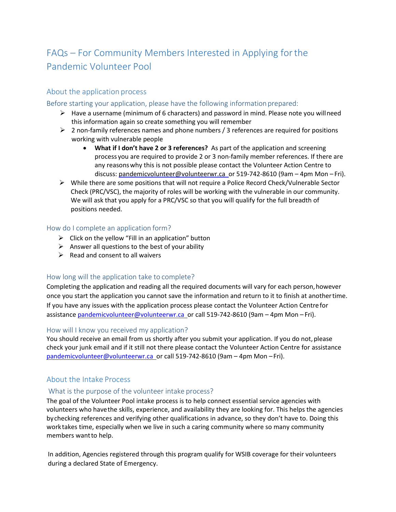# FAQs – For Community Members Interested in Applying forthe Pandemic Volunteer Pool

# About the application process

## Before starting your application, please have the following information prepared:

- $\triangleright$  Have a username (minimum of 6 characters) and password in mind. Please note you will need this information again so create something you will remember
- $\triangleright$  2 non-family references names and phone numbers / 3 references are required for positions working with vulnerable people
	- **What if I don't have 2 or 3 references?** As part of the application and screening process you are required to provide 2 or 3 non-family member references. If there are any reasonswhy this is not possible please contact the Volunteer Action Centre to discuss: [pandemicvolunteer@volunteerwr.ca o](mailto:covidvolunteer@volunteerwr.ca)r 519-742-8610 (9am – 4pm Mon – Fri).
- $\triangleright$  While there are some positions that will not require a Police Record Check/Vulnerable Sector Check (PRC/VSC), the majority of roles will be working with the vulnerable in our community. We will ask that you apply for a PRC/VSC so that you will qualify for the full breadth of positions needed.

## How do I complete an application form?

- $\triangleright$  Click on the yellow "Fill in an application" button
- $\triangleright$  Answer all questions to the best of your ability
- $\triangleright$  Read and consent to all waivers

## How long will the application take to complete?

Completing the application and reading all the required documents will vary for each person, however once you start the application you cannot save the information and return to it to finish at anothertime. If you have any issues with the application process please contact the Volunteer Action Centrefor assistance pandemicvolunteer@volunteerwr.ca\_or call 519-742-8610 (9am - 4pm Mon - Fri).

## How will I know you received my application?

You should receive an email from us shortly after you submit your application. If you do not, please check your junk email and if it still not there please contact the Volunteer Action Centre for assistance [pandemicvolunteer@volunteerwr.ca o](mailto:covidvolunteer@volunteerwr.ca)r call 519-742-8610 (9am – 4pm Mon –Fri).

# About the Intake Process

## What is the purpose of the volunteer intake process?

The goal of the Volunteer Pool intake process is to help connect essential service agencies with volunteers who havethe skills, experience, and availability they are looking for. This helps the agencies bychecking references and verifying other qualifications in advance, so they don't have to. Doing this worktakes time, especially when we live in such a caring community where so many community members want to help.

In addition, Agencies registered through this program qualify for WSIB coverage for their volunteers during a declared State of Emergency.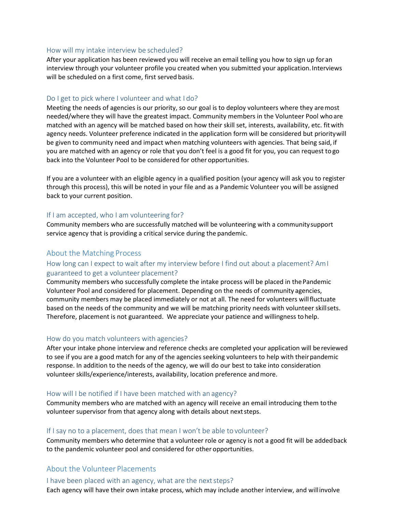#### How will my intake interview be scheduled?

After your application has been reviewed you will receive an email telling you how to sign up foran interview through your volunteer profile you created when you submitted your application. Interviews will be scheduled on a first come, first served basis.

## Do I get to pick where I volunteer and what I do?

Meeting the needs of agencies is our priority, so our goal is to deploy volunteers where they aremost needed/where they will have the greatest impact. Community members in the Volunteer Pool whoare matched with an agency will be matched based on how their skill set, interests, availability, etc. fitwith agency needs. Volunteer preference indicated in the application form will be considered but prioritywill be given to community need and impact when matching volunteers with agencies. That being said, if you are matched with an agency or role that you don't feel is a good fit for you, you can request to go back into the Volunteer Pool to be considered for other opportunities.

If you are a volunteer with an eligible agency in a qualified position (your agency will ask you to register through this process), this will be noted in your file and as a Pandemic Volunteer you will be assigned back to your current position.

## If I am accepted, who I am volunteering for?

Community members who are successfully matched will be volunteering with a communitysupport service agency that is providing a critical service during the pandemic.

# About the Matching Process

## How long can I expect to wait after my interview before I find out about a placement? AmI guaranteed to get a volunteer placement?

Community members who successfully complete the intake process will be placed in thePandemic Volunteer Pool and considered for placement. Depending on the needs of community agencies, community members may be placed immediately or not at all. The need for volunteers willfluctuate based on the needs of the community and we will be matching priority needs with volunteer skillsets. Therefore, placement is not guaranteed. We appreciate your patience and willingness tohelp.

#### How do you match volunteers with agencies?

After your intake phone interview and reference checks are completed your application will bereviewed to see if you are a good match for any of the agencies seeking volunteers to help with theirpandemic response. In addition to the needs of the agency, we will do our best to take into consideration volunteer skills/experience/interests, availability, location preference andmore.

#### How will I be notified if I have been matched with an agency?

Community members who are matched with an agency will receive an email introducing them tothe volunteer supervisor from that agency along with details about nextsteps.

#### If I say no to a placement, does that mean I won't be able to volunteer?

Community members who determine that a volunteer role or agency is not a good fit will be addedback to the pandemic volunteer pool and considered for other opportunities.

# About the Volunteer Placements

#### I have been placed with an agency, what are the next steps?

Each agency will have their own intake process, which may include another interview, and willinvolve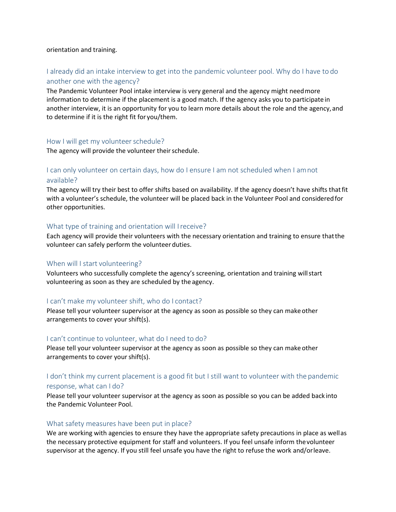#### orientation and training.

# I already did an intake interview to get into the pandemic volunteer pool. Why do I have to do another one with the agency?

The Pandemic Volunteer Pool intake interview is very general and the agency might needmore information to determine if the placement is a good match. If the agency asks you to participate in another interview, it is an opportunity for you to learn more details about the role and the agency, and to determine if it is the right fit for you/them.

#### How I will get my volunteer schedule?

The agency will provide the volunteer their schedule.

# I can only volunteer on certain days, how do I ensure I am not scheduled when I amnot available?

The agency will try their best to offer shifts based on availability. If the agency doesn't have shifts that fit with a volunteer's schedule, the volunteer will be placed back in the Volunteer Pool and consideredfor other opportunities.

#### What type of training and orientation will Ireceive?

Each agency will provide their volunteers with the necessary orientation and training to ensure thatthe volunteer can safely perform the volunteer duties.

#### When will I start volunteering?

Volunteers who successfully complete the agency's screening, orientation and training willstart volunteering as soon as they are scheduled by the agency.

#### I can't make my volunteer shift, who do I contact?

Please tell your volunteer supervisor at the agency as soon as possible so they can makeother arrangements to cover your shift(s).

#### I can't continue to volunteer, what do I need to do?

Please tell your volunteer supervisor at the agency as soon as possible so they can make other arrangements to cover yourshift(s).

# I don't think my current placement is a good fit but I still want to volunteer with the pandemic response, what can I do?

Please tell your volunteer supervisor at the agency as soon as possible so you can be added back into the Pandemic Volunteer Pool.

#### What safety measures have been put in place?

We are working with agencies to ensure they have the appropriate safety precautions in place as wellas the necessary protective equipment for staff and volunteers. If you feel unsafe inform thevolunteer supervisor at the agency. If you still feel unsafe you have the right to refuse the work and/orleave.